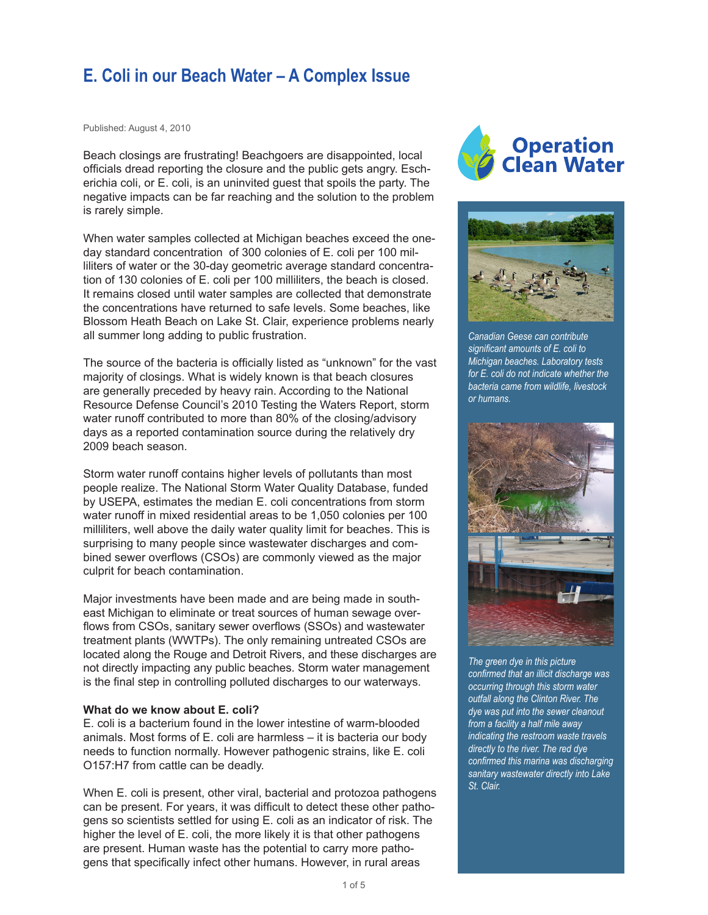# **E. Coli in our Beach Water – A Complex Issue**

Published: August 4, 2010

Beach closings are frustrating! Beachgoers are disappointed, local officials dread reporting the closure and the public gets angry. Escherichia coli, or E. coli, is an uninvited guest that spoils the party. The negative impacts can be far reaching and the solution to the problem is rarely simple.

When water samples collected at Michigan beaches exceed the oneday standard concentration of 300 colonies of E. coli per 100 milliliters of water or the 30-day geometric average standard concentration of 130 colonies of E. coli per 100 milliliters, the beach is closed. It remains closed until water samples are collected that demonstrate the concentrations have returned to safe levels. Some beaches, like Blossom Heath Beach on Lake St. Clair, experience problems nearly all summer long adding to public frustration.

The source of the bacteria is officially listed as "unknown" for the vast majority of closings. What is widely known is that beach closures are generally preceded by heavy rain. According to the National Resource Defense Council's 2010 Testing the Waters Report, storm water runoff contributed to more than 80% of the closing/advisory days as a reported contamination source during the relatively dry 2009 beach season.

Storm water runoff contains higher levels of pollutants than most people realize. The National Storm Water Quality Database, funded by USEPA, estimates the median E. coli concentrations from storm water runoff in mixed residential areas to be 1,050 colonies per 100 milliliters, well above the daily water quality limit for beaches. This is surprising to many people since wastewater discharges and combined sewer overflows (CSOs) are commonly viewed as the major culprit for beach contamination.

Major investments have been made and are being made in southeast Michigan to eliminate or treat sources of human sewage overflows from CSOs, sanitary sewer overflows (SSOs) and wastewater treatment plants (WWTPs). The only remaining untreated CSOs are located along the Rouge and Detroit Rivers, and these discharges are not directly impacting any public beaches. Storm water management is the final step in controlling polluted discharges to our waterways.

#### **What do we know about E. coli?**

E. coli is a bacterium found in the lower intestine of warm-blooded animals. Most forms of E. coli are harmless – it is bacteria our body needs to function normally. However pathogenic strains, like E. coli O157:H7 from cattle can be deadly.

When E. coli is present, other viral, bacterial and protozoa pathogens can be present. For years, it was difficult to detect these other pathogens so scientists settled for using E. coli as an indicator of risk. The higher the level of E. coli, the more likely it is that other pathogens are present. Human waste has the potential to carry more pathogens that specifically infect other humans. However, in rural areas





*Canadian Geese can contribute significant amounts of E. coli to Michigan beaches. Laboratory tests for E. coli do not indicate whether the bacteria came from wildlife, livestock or humans.* 



*The green dye in this picture confirmed that an illicit discharge was occurring through this storm water outfall along the Clinton River. The dye was put into the sewer cleanout from a facility a half mile away indicating the restroom waste travels directly to the river. The red dye confirmed this marina was discharging sanitary wastewater directly into Lake St. Clair.*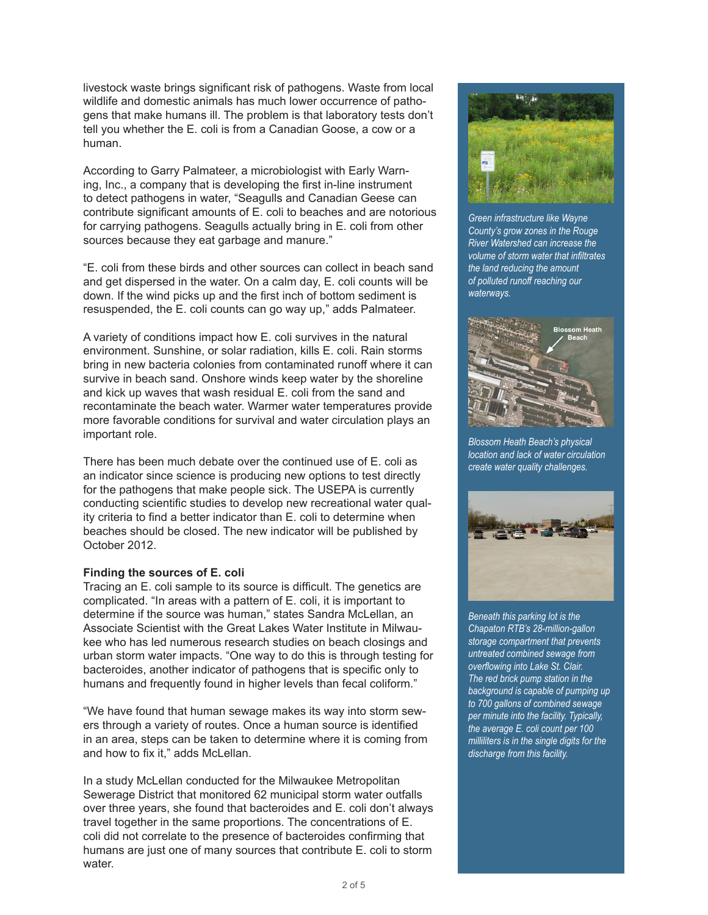livestock waste brings significant risk of pathogens. Waste from local wildlife and domestic animals has much lower occurrence of pathogens that make humans ill. The problem is that laboratory tests don't tell you whether the E. coli is from a Canadian Goose, a cow or a human.

According to Garry Palmateer, a microbiologist with Early Warning, Inc., a company that is developing the first in-line instrument to detect pathogens in water, "Seagulls and Canadian Geese can contribute significant amounts of E. coli to beaches and are notorious for carrying pathogens. Seagulls actually bring in E. coli from other sources because they eat garbage and manure."

"E. coli from these birds and other sources can collect in beach sand and get dispersed in the water. On a calm day, E. coli counts will be down. If the wind picks up and the first inch of bottom sediment is resuspended, the E. coli counts can go way up," adds Palmateer.

A variety of conditions impact how E. coli survives in the natural environment. Sunshine, or solar radiation, kills E. coli. Rain storms bring in new bacteria colonies from contaminated runoff where it can survive in beach sand. Onshore winds keep water by the shoreline and kick up waves that wash residual E. coli from the sand and recontaminate the beach water. Warmer water temperatures provide more favorable conditions for survival and water circulation plays an important role.

There has been much debate over the continued use of E. coli as an indicator since science is producing new options to test directly for the pathogens that make people sick. The USEPA is currently conducting scientific studies to develop new recreational water quality criteria to find a better indicator than E. coli to determine when beaches should be closed. The new indicator will be published by October 2012.

## **Finding the sources of E. coli**

Tracing an E. coli sample to its source is difficult. The genetics are complicated. "In areas with a pattern of E. coli, it is important to determine if the source was human," states Sandra McLellan, an Associate Scientist with the Great Lakes Water Institute in Milwaukee who has led numerous research studies on beach closings and urban storm water impacts. "One way to do this is through testing for bacteroides, another indicator of pathogens that is specific only to humans and frequently found in higher levels than fecal coliform."

"We have found that human sewage makes its way into storm sewers through a variety of routes. Once a human source is identified in an area, steps can be taken to determine where it is coming from and how to fix it," adds McLellan.

In a study McLellan conducted for the Milwaukee Metropolitan Sewerage District that monitored 62 municipal storm water outfalls over three years, she found that bacteroides and E. coli don't always travel together in the same proportions. The concentrations of E. coli did not correlate to the presence of bacteroides confirming that humans are just one of many sources that contribute E. coli to storm water.



*Green infrastructure like Wayne County's grow zones in the Rouge River Watershed can increase the volume of storm water that infiltrates the land reducing the amount of polluted runoff reaching our waterways.*



*Blossom Heath Beach's physical location and lack of water circulation create water quality challenges.*



*Beneath this parking lot is the Chapaton RTB's 28-million-gallon storage compartment that prevents untreated combined sewage from overflowing into Lake St. Clair. The red brick pump station in the background is capable of pumping up to 700 gallons of combined sewage per minute into the facility. Typically, the average E. coli count per 100 milliliters is in the single digits for the discharge from this facility.*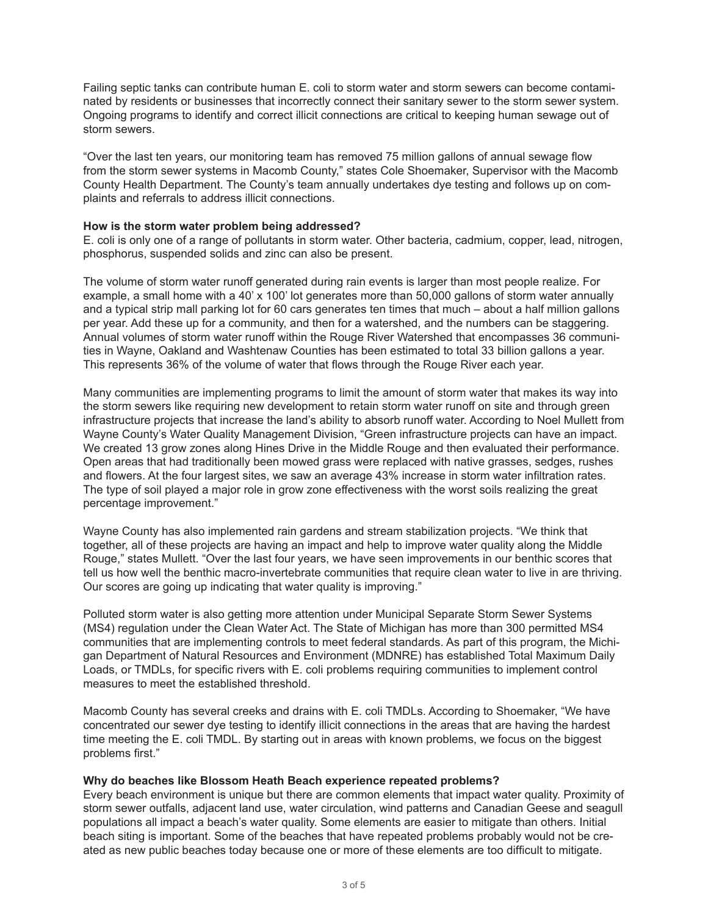Failing septic tanks can contribute human E. coli to storm water and storm sewers can become contaminated by residents or businesses that incorrectly connect their sanitary sewer to the storm sewer system. Ongoing programs to identify and correct illicit connections are critical to keeping human sewage out of storm sewers.

"Over the last ten years, our monitoring team has removed 75 million gallons of annual sewage flow from the storm sewer systems in Macomb County," states Cole Shoemaker, Supervisor with the Macomb County Health Department. The County's team annually undertakes dye testing and follows up on complaints and referrals to address illicit connections.

#### **How is the storm water problem being addressed?**

E. coli is only one of a range of pollutants in storm water. Other bacteria, cadmium, copper, lead, nitrogen, phosphorus, suspended solids and zinc can also be present.

The volume of storm water runoff generated during rain events is larger than most people realize. For example, a small home with a 40' x 100' lot generates more than 50,000 gallons of storm water annually and a typical strip mall parking lot for 60 cars generates ten times that much – about a half million gallons per year. Add these up for a community, and then for a watershed, and the numbers can be staggering. Annual volumes of storm water runoff within the Rouge River Watershed that encompasses 36 communities in Wayne, Oakland and Washtenaw Counties has been estimated to total 33 billion gallons a year. This represents 36% of the volume of water that flows through the Rouge River each year.

Many communities are implementing programs to limit the amount of storm water that makes its way into the storm sewers like requiring new development to retain storm water runoff on site and through green infrastructure projects that increase the land's ability to absorb runoff water. According to Noel Mullett from Wayne County's Water Quality Management Division, "Green infrastructure projects can have an impact. We created 13 grow zones along Hines Drive in the Middle Rouge and then evaluated their performance. Open areas that had traditionally been mowed grass were replaced with native grasses, sedges, rushes and flowers. At the four largest sites, we saw an average 43% increase in storm water infiltration rates. The type of soil played a major role in grow zone effectiveness with the worst soils realizing the great percentage improvement."

Wayne County has also implemented rain gardens and stream stabilization projects. "We think that together, all of these projects are having an impact and help to improve water quality along the Middle Rouge," states Mullett. "Over the last four years, we have seen improvements in our benthic scores that tell us how well the benthic macro-invertebrate communities that require clean water to live in are thriving. Our scores are going up indicating that water quality is improving."

Polluted storm water is also getting more attention under Municipal Separate Storm Sewer Systems (MS4) regulation under the Clean Water Act. The State of Michigan has more than 300 permitted MS4 communities that are implementing controls to meet federal standards. As part of this program, the Michigan Department of Natural Resources and Environment (MDNRE) has established Total Maximum Daily Loads, or TMDLs, for specific rivers with E. coli problems requiring communities to implement control measures to meet the established threshold.

Macomb County has several creeks and drains with E. coli TMDLs. According to Shoemaker, "We have concentrated our sewer dye testing to identify illicit connections in the areas that are having the hardest time meeting the E. coli TMDL. By starting out in areas with known problems, we focus on the biggest problems first."

#### **Why do beaches like Blossom Heath Beach experience repeated problems?**

Every beach environment is unique but there are common elements that impact water quality. Proximity of storm sewer outfalls, adjacent land use, water circulation, wind patterns and Canadian Geese and seagull populations all impact a beach's water quality. Some elements are easier to mitigate than others. Initial beach siting is important. Some of the beaches that have repeated problems probably would not be created as new public beaches today because one or more of these elements are too difficult to mitigate.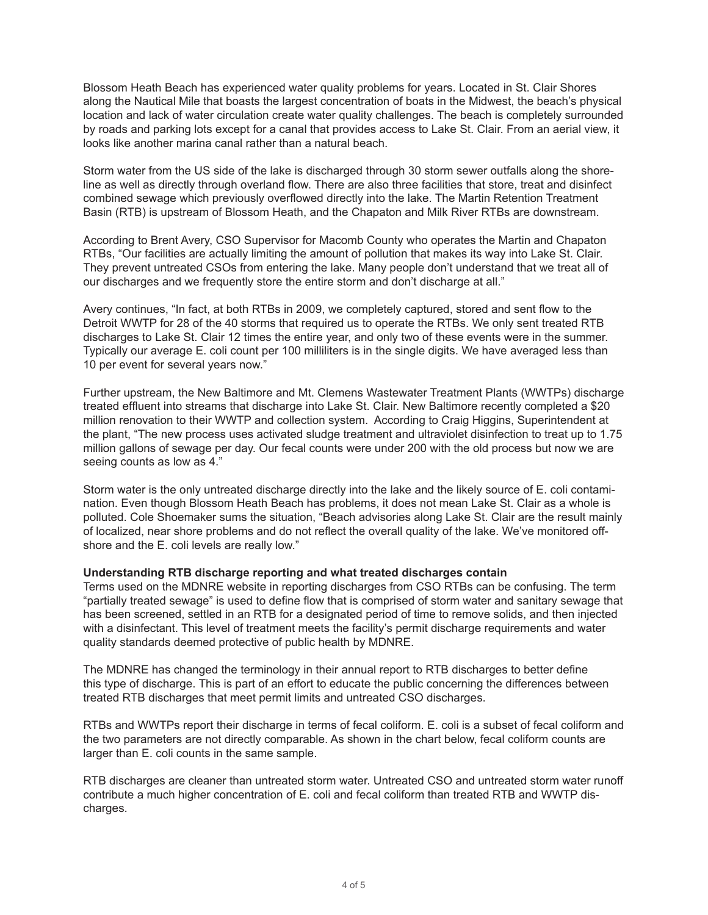Blossom Heath Beach has experienced water quality problems for years. Located in St. Clair Shores along the Nautical Mile that boasts the largest concentration of boats in the Midwest, the beach's physical location and lack of water circulation create water quality challenges. The beach is completely surrounded by roads and parking lots except for a canal that provides access to Lake St. Clair. From an aerial view, it looks like another marina canal rather than a natural beach.

Storm water from the US side of the lake is discharged through 30 storm sewer outfalls along the shoreline as well as directly through overland flow. There are also three facilities that store, treat and disinfect combined sewage which previously overflowed directly into the lake. The Martin Retention Treatment Basin (RTB) is upstream of Blossom Heath, and the Chapaton and Milk River RTBs are downstream.

According to Brent Avery, CSO Supervisor for Macomb County who operates the Martin and Chapaton RTBs, "Our facilities are actually limiting the amount of pollution that makes its way into Lake St. Clair. They prevent untreated CSOs from entering the lake. Many people don't understand that we treat all of our discharges and we frequently store the entire storm and don't discharge at all."

Avery continues, "In fact, at both RTBs in 2009, we completely captured, stored and sent flow to the Detroit WWTP for 28 of the 40 storms that required us to operate the RTBs. We only sent treated RTB discharges to Lake St. Clair 12 times the entire year, and only two of these events were in the summer. Typically our average E. coli count per 100 milliliters is in the single digits. We have averaged less than 10 per event for several years now."

Further upstream, the New Baltimore and Mt. Clemens Wastewater Treatment Plants (WWTPs) discharge treated effluent into streams that discharge into Lake St. Clair. New Baltimore recently completed a \$20 million renovation to their WWTP and collection system. According to Craig Higgins, Superintendent at the plant, "The new process uses activated sludge treatment and ultraviolet disinfection to treat up to 1.75 million gallons of sewage per day. Our fecal counts were under 200 with the old process but now we are seeing counts as low as 4."

Storm water is the only untreated discharge directly into the lake and the likely source of E. coli contamination. Even though Blossom Heath Beach has problems, it does not mean Lake St. Clair as a whole is polluted. Cole Shoemaker sums the situation, "Beach advisories along Lake St. Clair are the result mainly of localized, near shore problems and do not reflect the overall quality of the lake. We've monitored offshore and the E. coli levels are really low."

## **Understanding RTB discharge reporting and what treated discharges contain**

Terms used on the MDNRE website in reporting discharges from CSO RTBs can be confusing. The term "partially treated sewage" is used to define flow that is comprised of storm water and sanitary sewage that has been screened, settled in an RTB for a designated period of time to remove solids, and then injected with a disinfectant. This level of treatment meets the facility's permit discharge requirements and water quality standards deemed protective of public health by MDNRE.

The MDNRE has changed the terminology in their annual report to RTB discharges to better define this type of discharge. This is part of an effort to educate the public concerning the differences between treated RTB discharges that meet permit limits and untreated CSO discharges.

RTBs and WWTPs report their discharge in terms of fecal coliform. E. coli is a subset of fecal coliform and the two parameters are not directly comparable. As shown in the chart below, fecal coliform counts are larger than E. coli counts in the same sample.

RTB discharges are cleaner than untreated storm water. Untreated CSO and untreated storm water runoff contribute a much higher concentration of E. coli and fecal coliform than treated RTB and WWTP discharges.